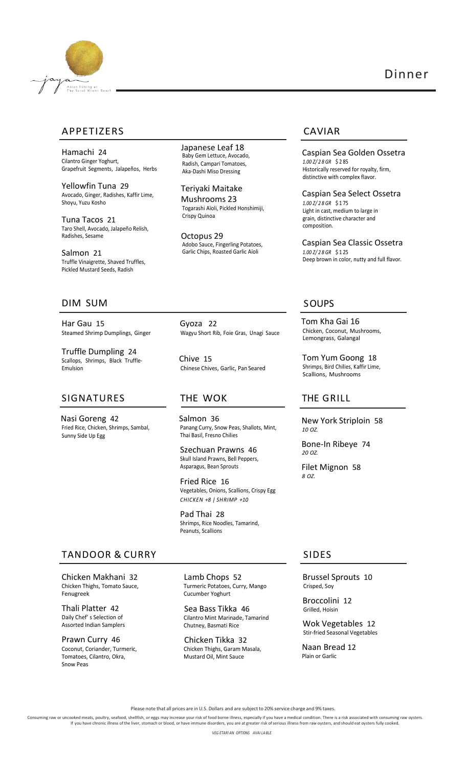

# Dinner

# APPETIZERS CAVIAR

Hamachi 24 Cilantro Ginger Yoghurt, Grapefruit Segments, Jalapeños, Herbs

Yellowfin Tuna 29 Avocado, Ginger, Radishes, Kaffir Lime, Shoyu, Yuzu Kosho

Tuna Tacos 21 Taro Shell, Avocado, Jalapeño Relish, Radishes, Sesame

Salmon 21 Truffle Vinaigrette, Shaved Truffles, Pickled Mustard Seeds, Radish

 Japanese Leaf 18 Baby Gem Lettuce, Avocado, Radish, Campari Tomatoes, Aka-Dashi Miso Dressing

Teriyaki Maitake Mushrooms 23 Togarashi Aïoli, Pickled Honshimiji, Crispy Quinoa

Octopus 29 Adobo Sauce, Fingerling Potatoes, Garlic Chips, Roasted Garlic Aïoli

Caspian Sea Golden Ossetra *1.00 Z/ 2 8 GR* \$ 2 85 Historically reserved for royalty, firm, distinctive with complex flavor.

Caspian Sea Select Ossetra *1.00 Z/ 2 8 GR* \$ 1 75 Light in cast, medium to large in grain, distinctive character and composition.

Caspian Sea Classic Ossetra *1.00 Z/ 2 8 GR* \$ 1 25 Deep brown in color, nutty and full flavor.

Tom Kha Gai 16 Chicken, Coconut, Mushrooms, Lemongrass, Galangal

THE GRILL

*10 OZ.*

*20 OZ.*

*8 OZ.*

Tom Yum Goong 18 Shrimps, Bird Chilies, Kaffir Lime, Scallions, Mushrooms

New York Striploin 58

Bone-In Ribeye 74

Filet Mignon 58

# DIM SUM SOUPS

Har Gau 15 Steamed Shrimp Dumplings, Ginger

Truffle Dumpling 24 Scallops, Shrimps, Black Truffle-Emulsion

### SIGNATURES

Nasi Goreng 42 Fried Rice, Chicken, Shrimps, Sambal, Sunny Side Up Egg

 Gyoza 22 Wagyu Short Rib, Foie Gras, Unagi Sauce

 Chive 15 Chinese Chives, Garlic, Pan Seared

## THE WOK

 Salmon 36 Panang Curry, Snow Peas, Shallots, Mint, Thai Basil, Fresno Chilies

Szechuan Prawns 46 Skull Island Prawns, Bell Peppers, Asparagus, Bean Sprouts

Fried Rice 16 Vegetables, Onions, Scallions, Crispy Egg *CHICKEN +8 | SHRIMP +10*

Pad Thai 28 Shrimps, Rice Noodles, Tamarind, Peanuts, Scallions

# TANDOOR & CURRY SIDES

Chicken Makhani 32 Chicken Thighs, Tomato Sauce, Fenugreek

Thali Platter 42 Daily Chef' s Selection of Assorted Indian Samplers

Prawn Curry 46 Coconut, Coriander, Turmeric, Tomatoes, Cilantro, Okra, Snow Peas

Lamb Chops 52 Turmeric Potatoes, Curry, Mango Cucumber Yoghurt

Sea Bass Tikka 46 Cilantro Mint Marinade, Tamarind Chutney, Basmati Rice

Chicken Tikka 32 Chicken Thighs, Garam Masala, Mustard Oil, Mint Sauce

Brussel Sprouts 10 Crisped, Soy

Broccolini 12 Grilled, Hoisin

Wok Vegetables 12 Stir-fried Seasonal Vegetables

Naan Bread 12 Plain or Garlic

Please note that all prices are in U.S. Dollars and are subject to 20% service charge and 9% taxes.

Consuming raw or uncooked meats, poultry, seafood, shellfish, or eggs may increase your risk of food borne illness, especially if you have a medical condition. There is a risk associated with consuming raw oysters.<br>If you